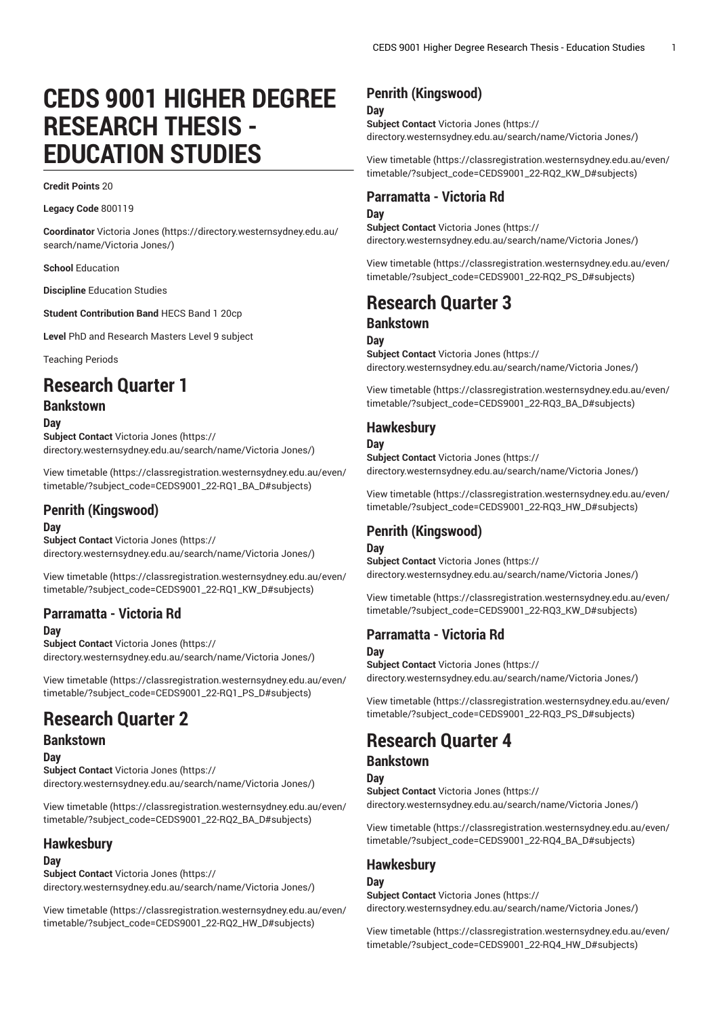# **CEDS 9001 HIGHER DEGREE RESEARCH THESIS - EDUCATION STUDIES**

#### **Credit Points** 20

**Legacy Code** 800119

**Coordinator** [Victoria Jones](https://directory.westernsydney.edu.au/search/name/Victoria Jones/) ([https://directory.westernsydney.edu.au/](https://directory.westernsydney.edu.au/search/name/Victoria Jones/) [search/name/Victoria](https://directory.westernsydney.edu.au/search/name/Victoria Jones/) Jones/)

**School** Education

**Discipline** Education Studies

**Student Contribution Band** HECS Band 1 20cp

**Level** PhD and Research Masters Level 9 subject

Teaching Periods

## **Research Quarter 1**

### **Bankstown**

**Day**

**Subject Contact** [Victoria Jones](https://directory.westernsydney.edu.au/search/name/Victoria Jones/) ([https://](https://directory.westernsydney.edu.au/search/name/Victoria Jones/) [directory.westernsydney.edu.au/search/name/Victoria](https://directory.westernsydney.edu.au/search/name/Victoria Jones/) Jones/)

[View timetable](https://classregistration.westernsydney.edu.au/even/timetable/?subject_code=CEDS9001_22-RQ1_BA_D#subjects) ([https://classregistration.westernsydney.edu.au/even/](https://classregistration.westernsydney.edu.au/even/timetable/?subject_code=CEDS9001_22-RQ1_BA_D#subjects) [timetable/?subject\\_code=CEDS9001\\_22-RQ1\\_BA\\_D#subjects\)](https://classregistration.westernsydney.edu.au/even/timetable/?subject_code=CEDS9001_22-RQ1_BA_D#subjects)

## **Penrith (Kingswood)**

#### **Day**

**Subject Contact** [Victoria Jones](https://directory.westernsydney.edu.au/search/name/Victoria Jones/) ([https://](https://directory.westernsydney.edu.au/search/name/Victoria Jones/) [directory.westernsydney.edu.au/search/name/Victoria](https://directory.westernsydney.edu.au/search/name/Victoria Jones/) Jones/)

[View timetable](https://classregistration.westernsydney.edu.au/even/timetable/?subject_code=CEDS9001_22-RQ1_KW_D#subjects) ([https://classregistration.westernsydney.edu.au/even/](https://classregistration.westernsydney.edu.au/even/timetable/?subject_code=CEDS9001_22-RQ1_KW_D#subjects) [timetable/?subject\\_code=CEDS9001\\_22-RQ1\\_KW\\_D#subjects\)](https://classregistration.westernsydney.edu.au/even/timetable/?subject_code=CEDS9001_22-RQ1_KW_D#subjects)

## **Parramatta - Victoria Rd**

**Day**

**Subject Contact** [Victoria Jones](https://directory.westernsydney.edu.au/search/name/Victoria Jones/) ([https://](https://directory.westernsydney.edu.au/search/name/Victoria Jones/) [directory.westernsydney.edu.au/search/name/Victoria](https://directory.westernsydney.edu.au/search/name/Victoria Jones/) Jones/)

[View timetable](https://classregistration.westernsydney.edu.au/even/timetable/?subject_code=CEDS9001_22-RQ1_PS_D#subjects) ([https://classregistration.westernsydney.edu.au/even/](https://classregistration.westernsydney.edu.au/even/timetable/?subject_code=CEDS9001_22-RQ1_PS_D#subjects) [timetable/?subject\\_code=CEDS9001\\_22-RQ1\\_PS\\_D#subjects\)](https://classregistration.westernsydney.edu.au/even/timetable/?subject_code=CEDS9001_22-RQ1_PS_D#subjects)

## **Research Quarter 2**

#### **Bankstown Day**

**Subject Contact** [Victoria Jones](https://directory.westernsydney.edu.au/search/name/Victoria Jones/) ([https://](https://directory.westernsydney.edu.au/search/name/Victoria Jones/) [directory.westernsydney.edu.au/search/name/Victoria](https://directory.westernsydney.edu.au/search/name/Victoria Jones/) Jones/)

[View timetable](https://classregistration.westernsydney.edu.au/even/timetable/?subject_code=CEDS9001_22-RQ2_BA_D#subjects) ([https://classregistration.westernsydney.edu.au/even/](https://classregistration.westernsydney.edu.au/even/timetable/?subject_code=CEDS9001_22-RQ2_BA_D#subjects) [timetable/?subject\\_code=CEDS9001\\_22-RQ2\\_BA\\_D#subjects\)](https://classregistration.westernsydney.edu.au/even/timetable/?subject_code=CEDS9001_22-RQ2_BA_D#subjects)

#### **Hawkesbury**

#### **Day**

**Subject Contact** [Victoria Jones](https://directory.westernsydney.edu.au/search/name/Victoria Jones/) ([https://](https://directory.westernsydney.edu.au/search/name/Victoria Jones/) [directory.westernsydney.edu.au/search/name/Victoria](https://directory.westernsydney.edu.au/search/name/Victoria Jones/) Jones/)

[View timetable](https://classregistration.westernsydney.edu.au/even/timetable/?subject_code=CEDS9001_22-RQ2_HW_D#subjects) ([https://classregistration.westernsydney.edu.au/even/](https://classregistration.westernsydney.edu.au/even/timetable/?subject_code=CEDS9001_22-RQ2_HW_D#subjects) [timetable/?subject\\_code=CEDS9001\\_22-RQ2\\_HW\\_D#subjects](https://classregistration.westernsydney.edu.au/even/timetable/?subject_code=CEDS9001_22-RQ2_HW_D#subjects))

## **Penrith (Kingswood)**

#### **Day**

**Subject Contact** [Victoria Jones](https://directory.westernsydney.edu.au/search/name/Victoria Jones/) ([https://](https://directory.westernsydney.edu.au/search/name/Victoria Jones/) [directory.westernsydney.edu.au/search/name/Victoria](https://directory.westernsydney.edu.au/search/name/Victoria Jones/) Jones/)

[View timetable](https://classregistration.westernsydney.edu.au/even/timetable/?subject_code=CEDS9001_22-RQ2_KW_D#subjects) [\(https://classregistration.westernsydney.edu.au/even/](https://classregistration.westernsydney.edu.au/even/timetable/?subject_code=CEDS9001_22-RQ2_KW_D#subjects) [timetable/?subject\\_code=CEDS9001\\_22-RQ2\\_KW\\_D#subjects\)](https://classregistration.westernsydney.edu.au/even/timetable/?subject_code=CEDS9001_22-RQ2_KW_D#subjects)

## **Parramatta - Victoria Rd**

#### **Day**

**Subject Contact** [Victoria Jones](https://directory.westernsydney.edu.au/search/name/Victoria Jones/) ([https://](https://directory.westernsydney.edu.au/search/name/Victoria Jones/) [directory.westernsydney.edu.au/search/name/Victoria](https://directory.westernsydney.edu.au/search/name/Victoria Jones/) Jones/)

[View timetable](https://classregistration.westernsydney.edu.au/even/timetable/?subject_code=CEDS9001_22-RQ2_PS_D#subjects) [\(https://classregistration.westernsydney.edu.au/even/](https://classregistration.westernsydney.edu.au/even/timetable/?subject_code=CEDS9001_22-RQ2_PS_D#subjects) [timetable/?subject\\_code=CEDS9001\\_22-RQ2\\_PS\\_D#subjects\)](https://classregistration.westernsydney.edu.au/even/timetable/?subject_code=CEDS9001_22-RQ2_PS_D#subjects)

## **Research Quarter 3**

#### **Bankstown**

#### **Day**

**Subject Contact** [Victoria Jones](https://directory.westernsydney.edu.au/search/name/Victoria Jones/) ([https://](https://directory.westernsydney.edu.au/search/name/Victoria Jones/) [directory.westernsydney.edu.au/search/name/Victoria](https://directory.westernsydney.edu.au/search/name/Victoria Jones/) Jones/)

[View timetable](https://classregistration.westernsydney.edu.au/even/timetable/?subject_code=CEDS9001_22-RQ3_BA_D#subjects) [\(https://classregistration.westernsydney.edu.au/even/](https://classregistration.westernsydney.edu.au/even/timetable/?subject_code=CEDS9001_22-RQ3_BA_D#subjects) [timetable/?subject\\_code=CEDS9001\\_22-RQ3\\_BA\\_D#subjects](https://classregistration.westernsydney.edu.au/even/timetable/?subject_code=CEDS9001_22-RQ3_BA_D#subjects))

#### **Hawkesbury**

#### **Day**

**Subject Contact** [Victoria Jones](https://directory.westernsydney.edu.au/search/name/Victoria Jones/) ([https://](https://directory.westernsydney.edu.au/search/name/Victoria Jones/) [directory.westernsydney.edu.au/search/name/Victoria](https://directory.westernsydney.edu.au/search/name/Victoria Jones/) Jones/)

[View timetable](https://classregistration.westernsydney.edu.au/even/timetable/?subject_code=CEDS9001_22-RQ3_HW_D#subjects) [\(https://classregistration.westernsydney.edu.au/even/](https://classregistration.westernsydney.edu.au/even/timetable/?subject_code=CEDS9001_22-RQ3_HW_D#subjects) [timetable/?subject\\_code=CEDS9001\\_22-RQ3\\_HW\\_D#subjects\)](https://classregistration.westernsydney.edu.au/even/timetable/?subject_code=CEDS9001_22-RQ3_HW_D#subjects)

## **Penrith (Kingswood)**

#### **Day**

**Subject Contact** [Victoria Jones](https://directory.westernsydney.edu.au/search/name/Victoria Jones/) ([https://](https://directory.westernsydney.edu.au/search/name/Victoria Jones/) [directory.westernsydney.edu.au/search/name/Victoria](https://directory.westernsydney.edu.au/search/name/Victoria Jones/) Jones/)

[View timetable](https://classregistration.westernsydney.edu.au/even/timetable/?subject_code=CEDS9001_22-RQ3_KW_D#subjects) [\(https://classregistration.westernsydney.edu.au/even/](https://classregistration.westernsydney.edu.au/even/timetable/?subject_code=CEDS9001_22-RQ3_KW_D#subjects) [timetable/?subject\\_code=CEDS9001\\_22-RQ3\\_KW\\_D#subjects\)](https://classregistration.westernsydney.edu.au/even/timetable/?subject_code=CEDS9001_22-RQ3_KW_D#subjects)

### **Parramatta - Victoria Rd Day**

**Subject Contact** [Victoria Jones](https://directory.westernsydney.edu.au/search/name/Victoria Jones/) ([https://](https://directory.westernsydney.edu.au/search/name/Victoria Jones/) [directory.westernsydney.edu.au/search/name/Victoria](https://directory.westernsydney.edu.au/search/name/Victoria Jones/) Jones/)

[View timetable](https://classregistration.westernsydney.edu.au/even/timetable/?subject_code=CEDS9001_22-RQ3_PS_D#subjects) [\(https://classregistration.westernsydney.edu.au/even/](https://classregistration.westernsydney.edu.au/even/timetable/?subject_code=CEDS9001_22-RQ3_PS_D#subjects) [timetable/?subject\\_code=CEDS9001\\_22-RQ3\\_PS\\_D#subjects\)](https://classregistration.westernsydney.edu.au/even/timetable/?subject_code=CEDS9001_22-RQ3_PS_D#subjects)

## **Research Quarter 4**

#### **Bankstown**

**Day**

**Subject Contact** [Victoria Jones](https://directory.westernsydney.edu.au/search/name/Victoria Jones/) ([https://](https://directory.westernsydney.edu.au/search/name/Victoria Jones/) [directory.westernsydney.edu.au/search/name/Victoria](https://directory.westernsydney.edu.au/search/name/Victoria Jones/) Jones/)

[View timetable](https://classregistration.westernsydney.edu.au/even/timetable/?subject_code=CEDS9001_22-RQ4_BA_D#subjects) [\(https://classregistration.westernsydney.edu.au/even/](https://classregistration.westernsydney.edu.au/even/timetable/?subject_code=CEDS9001_22-RQ4_BA_D#subjects) [timetable/?subject\\_code=CEDS9001\\_22-RQ4\\_BA\\_D#subjects](https://classregistration.westernsydney.edu.au/even/timetable/?subject_code=CEDS9001_22-RQ4_BA_D#subjects))

## **Hawkesbury**

**Day Subject Contact** [Victoria Jones](https://directory.westernsydney.edu.au/search/name/Victoria Jones/) ([https://](https://directory.westernsydney.edu.au/search/name/Victoria Jones/) [directory.westernsydney.edu.au/search/name/Victoria](https://directory.westernsydney.edu.au/search/name/Victoria Jones/) Jones/)

[View timetable](https://classregistration.westernsydney.edu.au/even/timetable/?subject_code=CEDS9001_22-RQ4_HW_D#subjects) [\(https://classregistration.westernsydney.edu.au/even/](https://classregistration.westernsydney.edu.au/even/timetable/?subject_code=CEDS9001_22-RQ4_HW_D#subjects) [timetable/?subject\\_code=CEDS9001\\_22-RQ4\\_HW\\_D#subjects\)](https://classregistration.westernsydney.edu.au/even/timetable/?subject_code=CEDS9001_22-RQ4_HW_D#subjects)